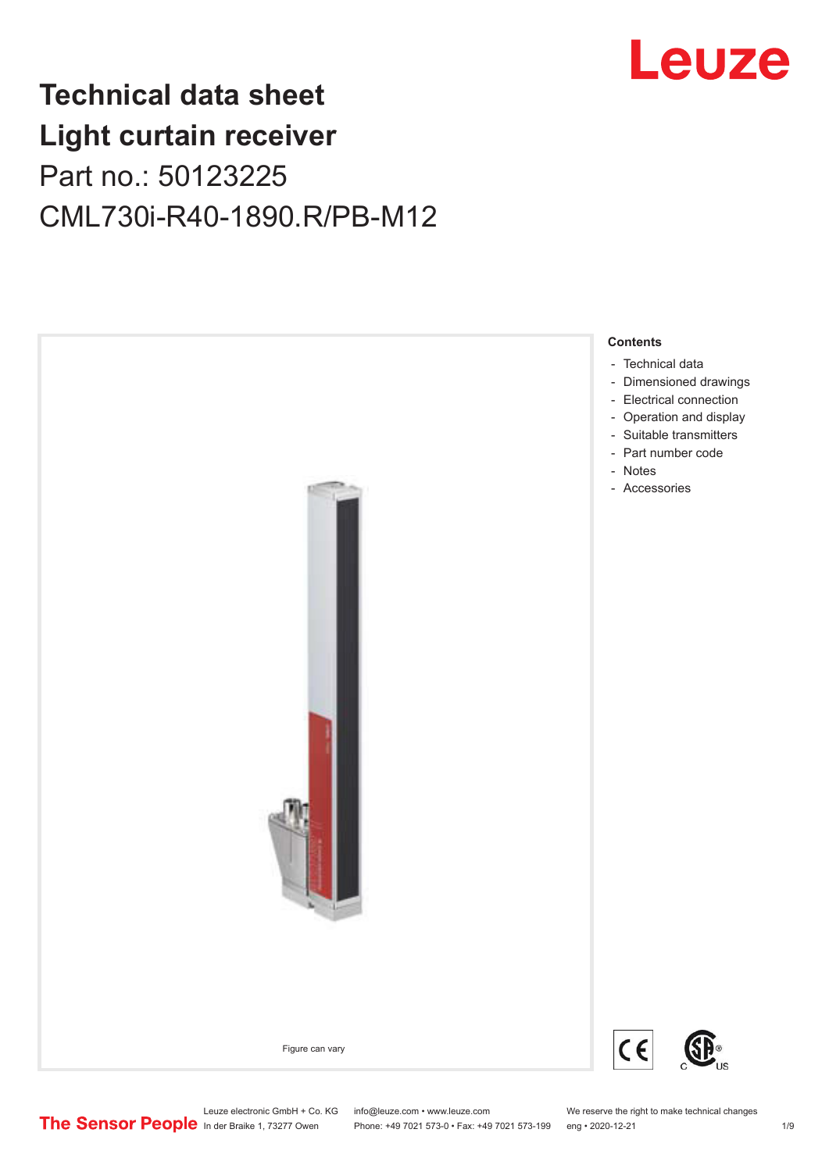

## **Technical data sheet Light curtain receiver** Part no.: 50123225 CML730i-R40-1890.R/PB-M12



Leuze electronic GmbH + Co. KG info@leuze.com • www.leuze.com We reserve the right to make technical changes<br>
The Sensor People in der Braike 1, 73277 Owen Phone: +49 7021 573-0 • Fax: +49 7021 573-199 eng • 2020-12-21

Phone: +49 7021 573-0 • Fax: +49 7021 573-199 eng • 2020-12-21 1 2020-12-21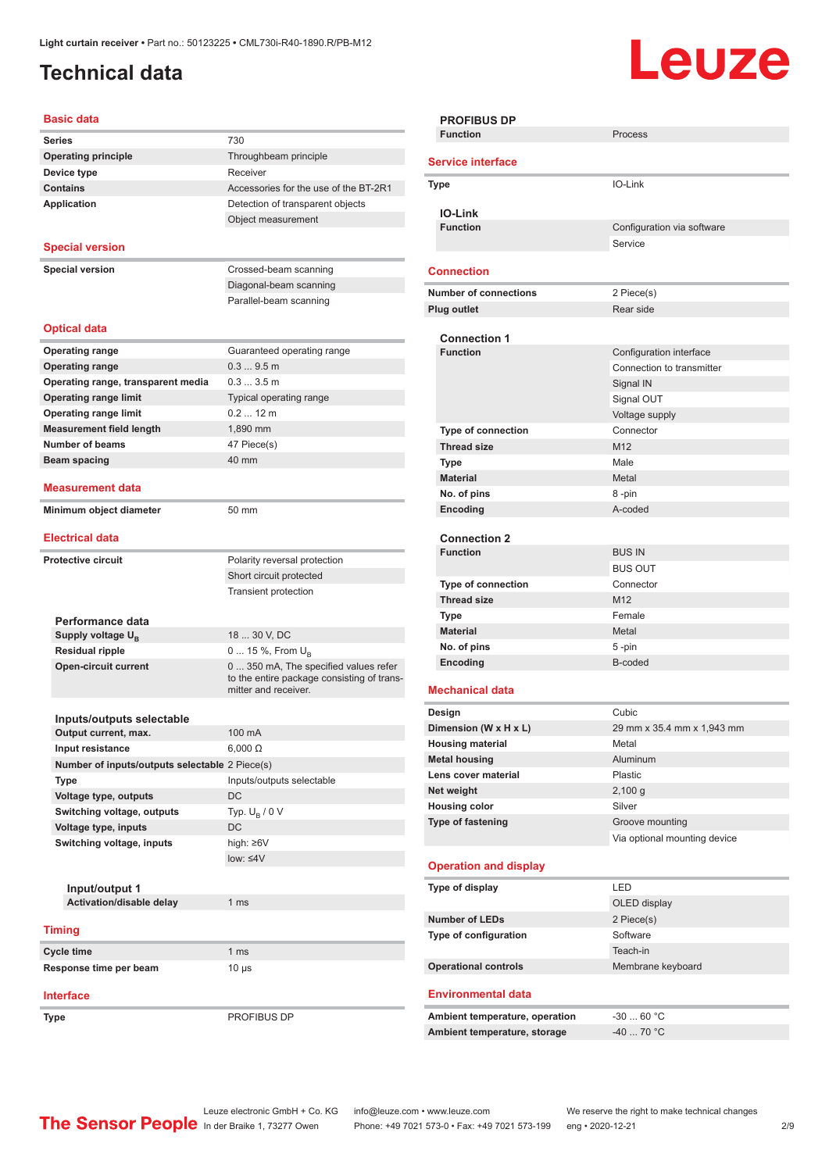## <span id="page-1-0"></span>**Technical data**

# **Leuze**

#### **Basic data**

|                           | Dasit uala                                     |                                                                    |  |  |  |
|---------------------------|------------------------------------------------|--------------------------------------------------------------------|--|--|--|
|                           | <b>Series</b>                                  | 730                                                                |  |  |  |
|                           | <b>Operating principle</b>                     | Throughbeam principle                                              |  |  |  |
|                           | Device type                                    | Receiver                                                           |  |  |  |
|                           | <b>Contains</b>                                | Accessories for the use of the BT-2R1                              |  |  |  |
|                           | <b>Application</b>                             | Detection of transparent objects                                   |  |  |  |
|                           |                                                | Object measurement                                                 |  |  |  |
|                           |                                                |                                                                    |  |  |  |
|                           | <b>Special version</b>                         |                                                                    |  |  |  |
| <b>Special version</b>    |                                                | Crossed-beam scanning                                              |  |  |  |
|                           |                                                | Diagonal-beam scanning                                             |  |  |  |
|                           |                                                | Parallel-beam scanning                                             |  |  |  |
|                           |                                                |                                                                    |  |  |  |
|                           | <b>Optical data</b>                            |                                                                    |  |  |  |
|                           | <b>Operating range</b>                         | Guaranteed operating range                                         |  |  |  |
|                           |                                                |                                                                    |  |  |  |
|                           | <b>Operating range</b>                         | 0.39.5m                                                            |  |  |  |
|                           | Operating range, transparent media             | 0.33.5m                                                            |  |  |  |
|                           | <b>Operating range limit</b>                   | Typical operating range                                            |  |  |  |
|                           | <b>Operating range limit</b>                   | $0.212 \text{ m}$                                                  |  |  |  |
|                           | <b>Measurement field length</b>                | 1,890 mm                                                           |  |  |  |
|                           | <b>Number of beams</b>                         | 47 Piece(s)                                                        |  |  |  |
|                           | Beam spacing                                   | 40 mm                                                              |  |  |  |
|                           | Measurement data                               |                                                                    |  |  |  |
|                           | Minimum object diameter                        | 50 mm                                                              |  |  |  |
|                           |                                                |                                                                    |  |  |  |
|                           | <b>Electrical data</b>                         |                                                                    |  |  |  |
| <b>Protective circuit</b> |                                                | Polarity reversal protection                                       |  |  |  |
|                           |                                                | Short circuit protected                                            |  |  |  |
|                           |                                                | <b>Transient protection</b>                                        |  |  |  |
|                           |                                                |                                                                    |  |  |  |
|                           | Performance data                               |                                                                    |  |  |  |
|                           | Supply voltage U <sub>B</sub>                  | 18  30 V, DC                                                       |  |  |  |
|                           | <b>Residual ripple</b>                         | 0  15 %, From U <sub>B</sub>                                       |  |  |  |
|                           | <b>Open-circuit current</b>                    | 0  350 mA, The specified values refer                              |  |  |  |
|                           |                                                | to the entire package consisting of trans-<br>mitter and receiver. |  |  |  |
|                           |                                                |                                                                    |  |  |  |
|                           | Inputs/outputs selectable                      |                                                                    |  |  |  |
|                           | Output current, max.                           | 100 mA                                                             |  |  |  |
|                           | <b>Input resistance</b>                        | $6,000 \Omega$                                                     |  |  |  |
|                           | Number of inputs/outputs selectable 2 Piece(s) |                                                                    |  |  |  |
|                           | Type                                           | Inputs/outputs selectable                                          |  |  |  |
|                           | Voltage type, outputs                          | DC                                                                 |  |  |  |
|                           | Switching voltage, outputs                     | Typ. $U_R / 0 V$                                                   |  |  |  |
|                           | Voltage type, inputs                           | DC                                                                 |  |  |  |
|                           | Switching voltage, inputs                      | high: ≥6V                                                          |  |  |  |
|                           |                                                | $low: 4V$                                                          |  |  |  |
|                           |                                                |                                                                    |  |  |  |
|                           | Input/output 1                                 |                                                                    |  |  |  |
|                           | Activation/disable delay                       | 1 <sub>ms</sub>                                                    |  |  |  |
|                           |                                                |                                                                    |  |  |  |
|                           | <b>Timing</b>                                  |                                                                    |  |  |  |
|                           | Cycle time                                     | 1 <sub>ms</sub>                                                    |  |  |  |
|                           | Response time per beam                         | $10 \mu s$                                                         |  |  |  |
|                           |                                                |                                                                    |  |  |  |
|                           | <b>Interface</b>                               |                                                                    |  |  |  |
|                           |                                                |                                                                    |  |  |  |
|                           | Type                                           | PROFIBUS DP                                                        |  |  |  |

| <b>PROFIBUS DP</b>             |                              |  |  |  |
|--------------------------------|------------------------------|--|--|--|
| <b>Function</b>                | Process                      |  |  |  |
|                                |                              |  |  |  |
| <b>Service interface</b>       |                              |  |  |  |
| <b>Type</b>                    | IO-Link                      |  |  |  |
|                                |                              |  |  |  |
| <b>IO-Link</b>                 |                              |  |  |  |
| <b>Function</b>                | Configuration via software   |  |  |  |
|                                | Service                      |  |  |  |
|                                |                              |  |  |  |
| <b>Connection</b>              |                              |  |  |  |
| <b>Number of connections</b>   | 2 Piece(s)                   |  |  |  |
| <b>Plug outlet</b>             | Rear side                    |  |  |  |
|                                |                              |  |  |  |
| <b>Connection 1</b>            |                              |  |  |  |
| <b>Function</b>                | Configuration interface      |  |  |  |
|                                | Connection to transmitter    |  |  |  |
|                                | Signal IN                    |  |  |  |
|                                |                              |  |  |  |
|                                | Signal OUT                   |  |  |  |
|                                | Voltage supply               |  |  |  |
| Type of connection             | Connector                    |  |  |  |
| <b>Thread size</b>             | M <sub>12</sub>              |  |  |  |
| <b>Type</b>                    | Male                         |  |  |  |
| <b>Material</b>                | Metal                        |  |  |  |
| No. of pins                    | 8-pin                        |  |  |  |
| Encoding                       | A-coded                      |  |  |  |
|                                |                              |  |  |  |
| <b>Connection 2</b>            |                              |  |  |  |
| <b>Function</b>                | <b>BUS IN</b>                |  |  |  |
|                                | <b>BUS OUT</b>               |  |  |  |
| Type of connection             | Connector                    |  |  |  |
| <b>Thread size</b>             | M <sub>12</sub>              |  |  |  |
| Type                           | Female                       |  |  |  |
| <b>Material</b>                | Metal                        |  |  |  |
| No. of pins                    | 5-pin                        |  |  |  |
| Encoding                       | B-coded                      |  |  |  |
|                                |                              |  |  |  |
| <b>Mechanical data</b>         |                              |  |  |  |
|                                |                              |  |  |  |
| Design                         | Cubic                        |  |  |  |
| Dimension (W x H x L)          | 29 mm x 35.4 mm x 1,943 mm   |  |  |  |
| <b>Housing material</b>        | Metal                        |  |  |  |
| <b>Metal housing</b>           | Aluminum                     |  |  |  |
| Lens cover material            | Plastic                      |  |  |  |
| Net weight                     | 2,100 g                      |  |  |  |
| <b>Housing color</b>           | Silver                       |  |  |  |
| Type of fastening              | Groove mounting              |  |  |  |
|                                | Via optional mounting device |  |  |  |
|                                |                              |  |  |  |
| <b>Operation and display</b>   |                              |  |  |  |
| Type of display                | LED                          |  |  |  |
|                                | OLED display                 |  |  |  |
| <b>Number of LEDs</b>          | 2 Piece(s)                   |  |  |  |
|                                | Software                     |  |  |  |
| Type of configuration          |                              |  |  |  |
|                                | Teach-in                     |  |  |  |
| <b>Operational controls</b>    | Membrane keyboard            |  |  |  |
|                                |                              |  |  |  |
| <b>Environmental data</b>      |                              |  |  |  |
| Ambient temperature, operation | $-30$ 60 °C                  |  |  |  |
| Ambient temperature, storage   | $-40$ 70 °C                  |  |  |  |
|                                |                              |  |  |  |
|                                |                              |  |  |  |

Leuze electronic GmbH + Co. KG info@leuze.com • www.leuze.com We reserve the right to make technical changes In der Braike 1, 73277 Owen Phone: +49 7021 573-0 • Fax: +49 7021 573-199 eng • 2020-12-21 299 Phone: +49 7021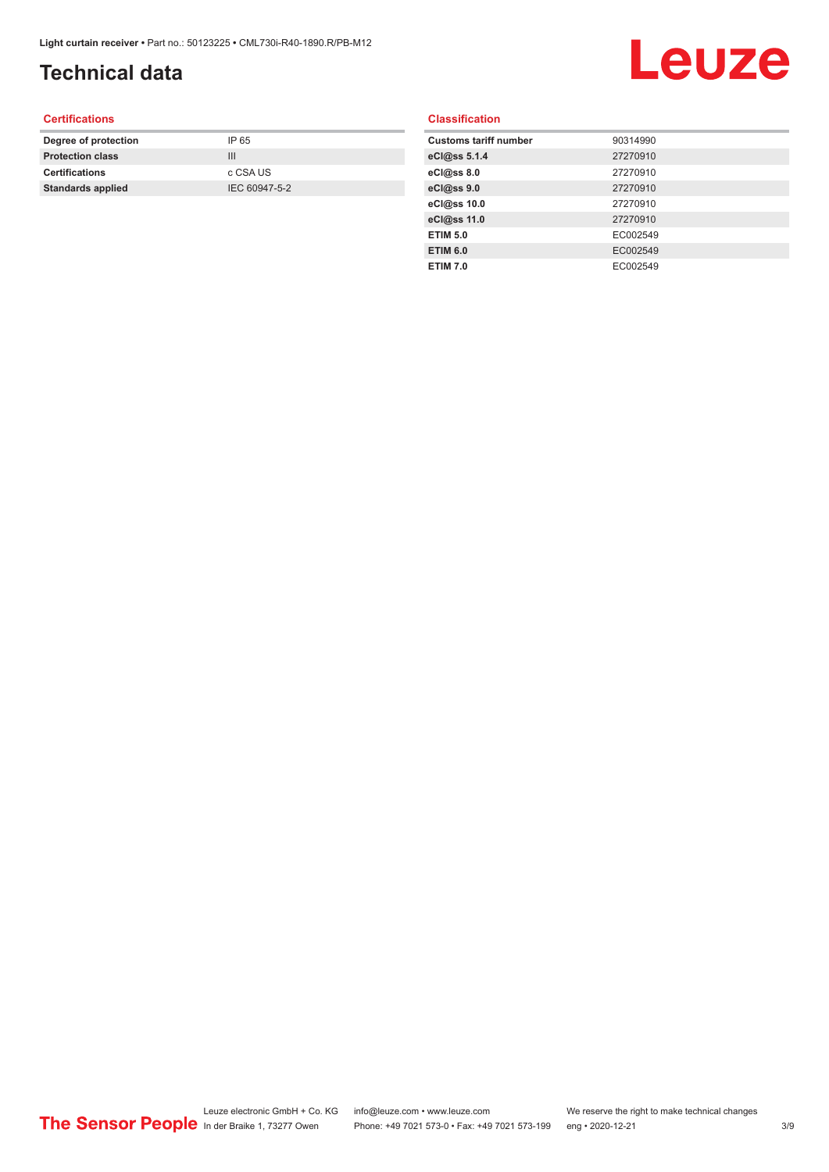## **Technical data**

## Leuze

#### **Certifications**

| Degree of protection     | IP 65         |
|--------------------------|---------------|
| <b>Protection class</b>  | Ш             |
| <b>Certifications</b>    | c CSA US      |
| <b>Standards applied</b> | IEC 60947-5-2 |
|                          |               |

#### **Classification**

| <b>Customs tariff number</b> | 90314990 |
|------------------------------|----------|
| eCl@ss 5.1.4                 | 27270910 |
| eCl@ss 8.0                   | 27270910 |
| eCl@ss 9.0                   | 27270910 |
| eCl@ss 10.0                  | 27270910 |
| eCl@ss 11.0                  | 27270910 |
| <b>ETIM 5.0</b>              | EC002549 |
| <b>ETIM 6.0</b>              | EC002549 |
| <b>ETIM 7.0</b>              | EC002549 |
|                              |          |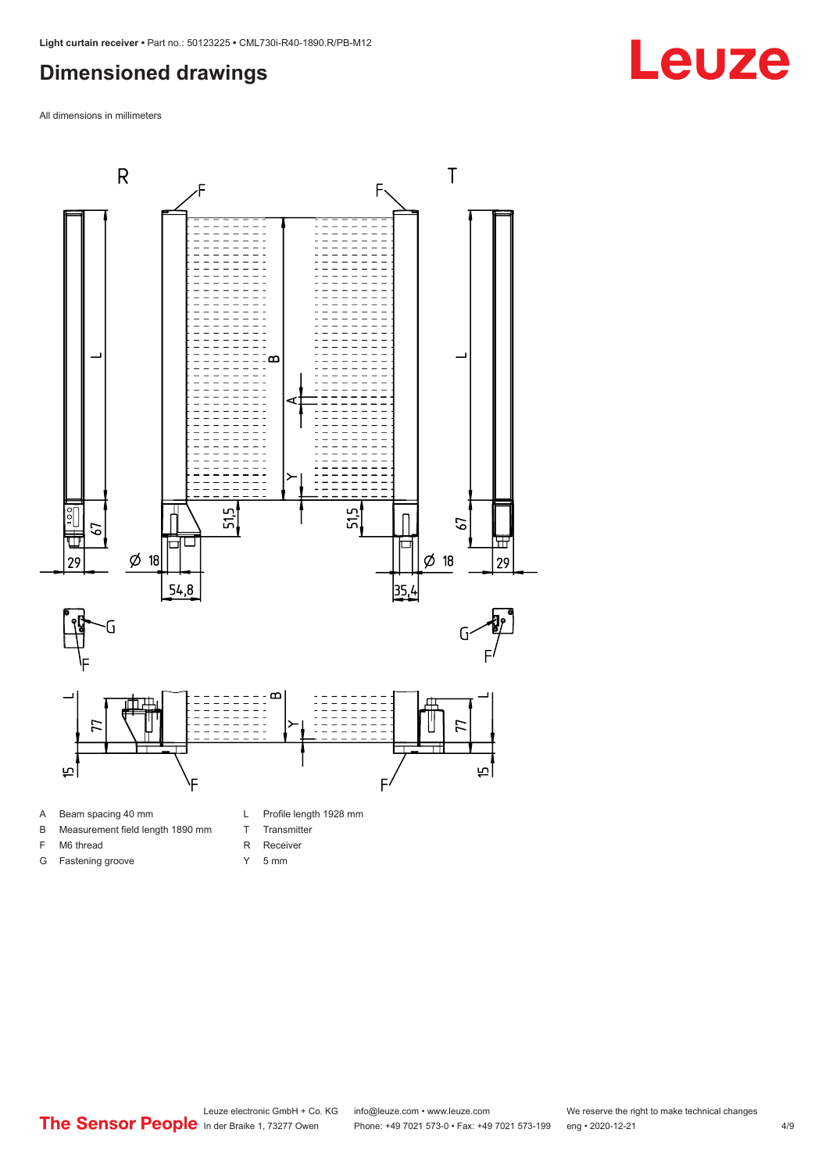#### <span id="page-3-0"></span>**Dimensioned drawings**

All dimensions in millimeters



- A Beam spacing 40 mm
- B Measurement field length 1890 mm
- F M6 thread

G Fastening groove

R Receiver

T Transmitter

Y 5 mm

**Leuze**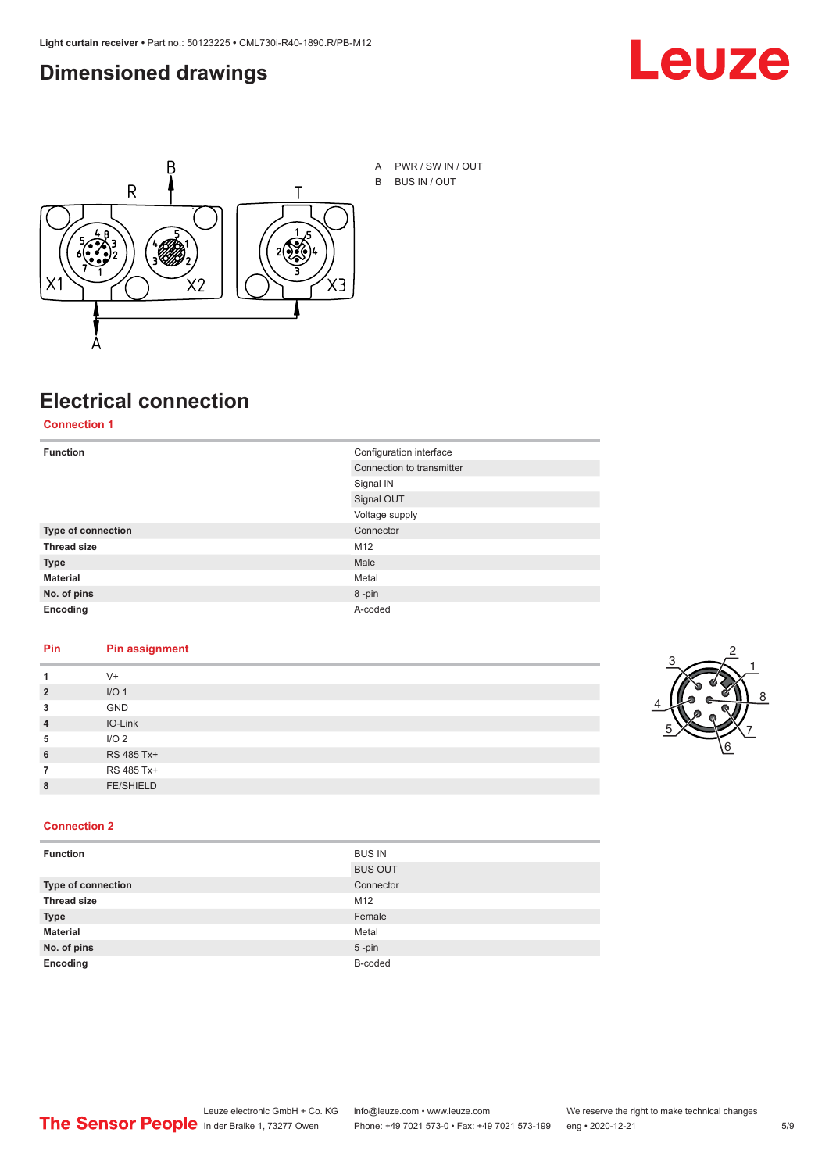#### <span id="page-4-0"></span>**Dimensioned drawings**





A PWR / SW IN / OUT B BUS IN / OUT

## **Electrical connection**

**Connection 1**

| <b>Function</b>    | Configuration interface   |  |
|--------------------|---------------------------|--|
|                    | Connection to transmitter |  |
|                    | Signal IN                 |  |
|                    | Signal OUT                |  |
|                    | Voltage supply            |  |
| Type of connection | Connector                 |  |
| <b>Thread size</b> | M12                       |  |
| <b>Type</b>        | Male                      |  |
| <b>Material</b>    | Metal                     |  |
| No. of pins        | 8-pin                     |  |
| Encoding           | A-coded                   |  |

#### **Pin Pin assignment**

| 1              | $V +$            |  |  |
|----------------|------------------|--|--|
| $\overline{2}$ | I/O <sub>1</sub> |  |  |
| 3              | <b>GND</b>       |  |  |
| $\overline{4}$ | IO-Link          |  |  |
| 5              | I/O <sub>2</sub> |  |  |
| 6              | RS 485 Tx+       |  |  |
| 7              | RS 485 Tx+       |  |  |
| 8              | <b>FE/SHIELD</b> |  |  |
|                |                  |  |  |



#### **Connection 2**

| <b>Function</b>    | <b>BUS IN</b>  |
|--------------------|----------------|
|                    | <b>BUS OUT</b> |
| Type of connection | Connector      |
| <b>Thread size</b> | M12            |
| <b>Type</b>        | Female         |
| <b>Material</b>    | Metal          |
| No. of pins        | $5$ -pin       |
| Encoding           | B-coded        |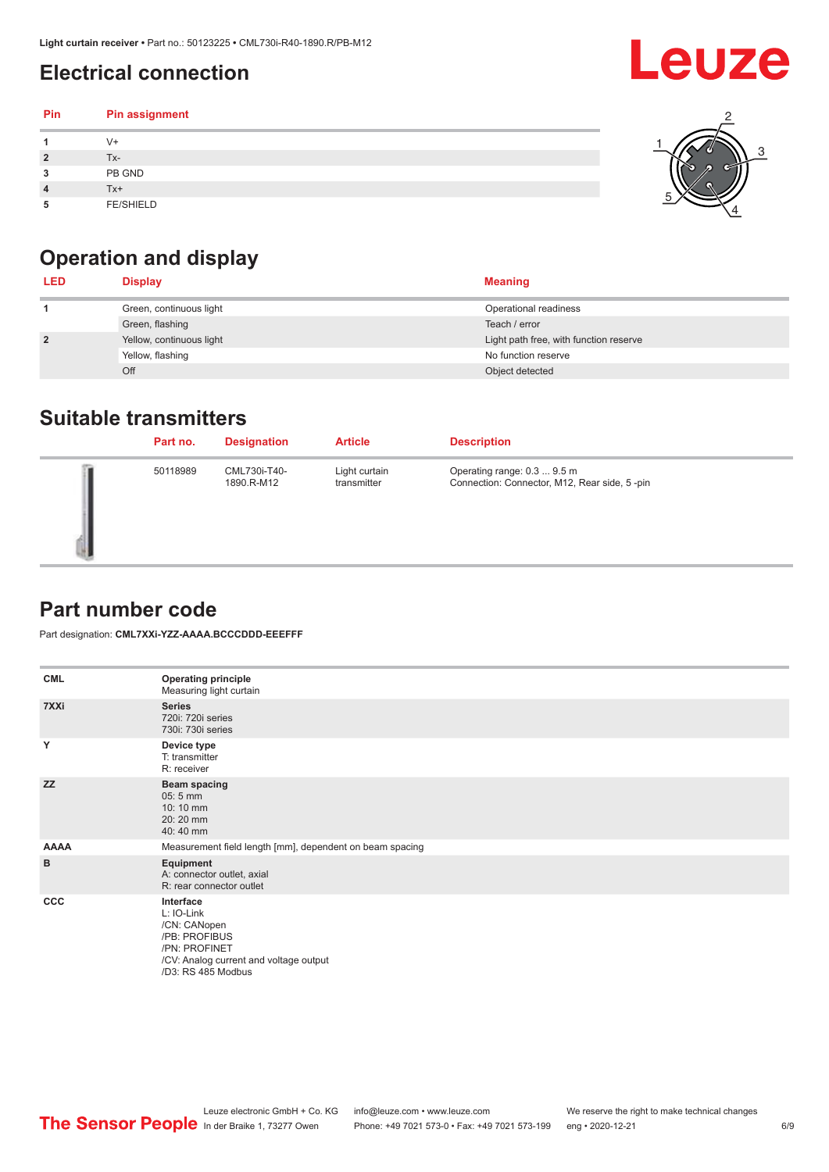## <span id="page-5-0"></span>**Electrical connection**

| Pin | Pin assignment   |  |
|-----|------------------|--|
|     | V+               |  |
|     | Tx-              |  |
| 3   | PB GND           |  |
|     | $Tx+$            |  |
| 5   | <b>FE/SHIELD</b> |  |

## **Operation and display**

| <b>LED</b>     | <b>Display</b>           | <b>Meaning</b>                         |
|----------------|--------------------------|----------------------------------------|
|                | Green, continuous light  | Operational readiness                  |
|                | Green, flashing          | Teach / error                          |
| $\overline{2}$ | Yellow, continuous light | Light path free, with function reserve |
|                | Yellow, flashing         | No function reserve                    |
|                | Off                      | Object detected                        |

#### **Suitable transmitters**

| Part no. | <b>Designation</b>         | <b>Article</b>               | <b>Description</b>                                                          |
|----------|----------------------------|------------------------------|-----------------------------------------------------------------------------|
| 50118989 | CML730i-T40-<br>1890.R-M12 | Light curtain<br>transmitter | Operating range: 0.3  9.5 m<br>Connection: Connector, M12, Rear side, 5-pin |

#### **Part number code**

Part designation: **CML7XXi-YZZ-AAAA.BCCCDDD-EEEFFF**

| <b>CML</b>  | <b>Operating principle</b><br>Measuring light curtain                                                                                     |
|-------------|-------------------------------------------------------------------------------------------------------------------------------------------|
| 7XXi        | <b>Series</b><br>720i: 720i series<br>730i: 730i series                                                                                   |
| Y           | Device type<br>T: transmitter<br>R: receiver                                                                                              |
| <b>ZZ</b>   | <b>Beam spacing</b><br>$05:5$ mm<br>10:10 mm<br>20:20 mm<br>40:40 mm                                                                      |
| <b>AAAA</b> | Measurement field length [mm], dependent on beam spacing                                                                                  |
| B           | Equipment<br>A: connector outlet, axial<br>R: rear connector outlet                                                                       |
| CCC         | Interface<br>L: IO-Link<br>/CN: CANopen<br>/PB: PROFIBUS<br>/PN: PROFINET<br>/CV: Analog current and voltage output<br>/D3: RS 485 Modbus |

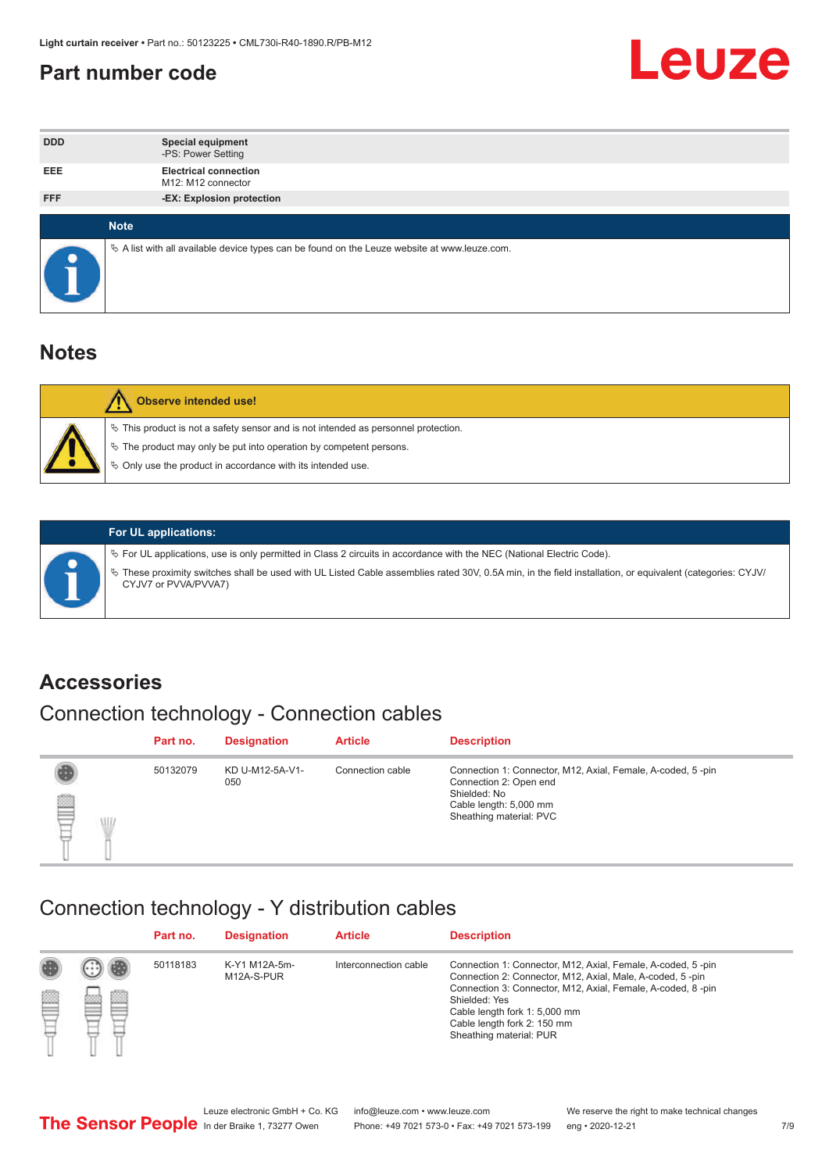#### <span id="page-6-0"></span>**Part number code**



| <b>DDD</b> | <b>Special equipment</b><br>-PS: Power Setting                                                    |
|------------|---------------------------------------------------------------------------------------------------|
| <b>EEE</b> | <b>Electrical connection</b><br>M12: M12 connector                                                |
| <b>FFF</b> | -EX: Explosion protection                                                                         |
|            | <b>Note</b>                                                                                       |
|            | Vector A list with all available device types can be found on the Leuze website at www.leuze.com. |

#### **Notes**

| Observe intended use!                                                                                                                                                                                                            |
|----------------------------------------------------------------------------------------------------------------------------------------------------------------------------------------------------------------------------------|
| $\%$ This product is not a safety sensor and is not intended as personnel protection.<br>$\%$ The product may only be put into operation by competent persons.<br>$\%$ Only use the product in accordance with its intended use. |
|                                                                                                                                                                                                                                  |



#### **For UL applications:**

ª For UL applications, use is only permitted in Class 2 circuits in accordance with the NEC (National Electric Code). ª These proximity switches shall be used with UL Listed Cable assemblies rated 30V, 0.5A min, in the field installation, or equivalent (categories: CYJV/ CYJV7 or PVVA/PVVA7)

#### **Accessories**

## Connection technology - Connection cables

|        | Part no. | <b>Designation</b>     | <b>Article</b>   | <b>Description</b>                                                                                                                                         |
|--------|----------|------------------------|------------------|------------------------------------------------------------------------------------------------------------------------------------------------------------|
| 2<br>W | 50132079 | KD U-M12-5A-V1-<br>050 | Connection cable | Connection 1: Connector, M12, Axial, Female, A-coded, 5-pin<br>Connection 2: Open end<br>Shielded: No<br>Cable length: 5,000 mm<br>Sheathing material: PVC |

#### Connection technology - Y distribution cables

|             |   | Part no. | <b>Designation</b>          | <b>Article</b>        | <b>Description</b>                                                                                                                                                                                                                                                                                  |
|-------------|---|----------|-----------------------------|-----------------------|-----------------------------------------------------------------------------------------------------------------------------------------------------------------------------------------------------------------------------------------------------------------------------------------------------|
| 圔<br>⋿<br>٣ | ø | 50118183 | K-Y1 M12A-5m-<br>M12A-S-PUR | Interconnection cable | Connection 1: Connector, M12, Axial, Female, A-coded, 5-pin<br>Connection 2: Connector, M12, Axial, Male, A-coded, 5-pin<br>Connection 3: Connector, M12, Axial, Female, A-coded, 8-pin<br>Shielded: Yes<br>Cable length fork 1: 5,000 mm<br>Cable length fork 2: 150 mm<br>Sheathing material: PUR |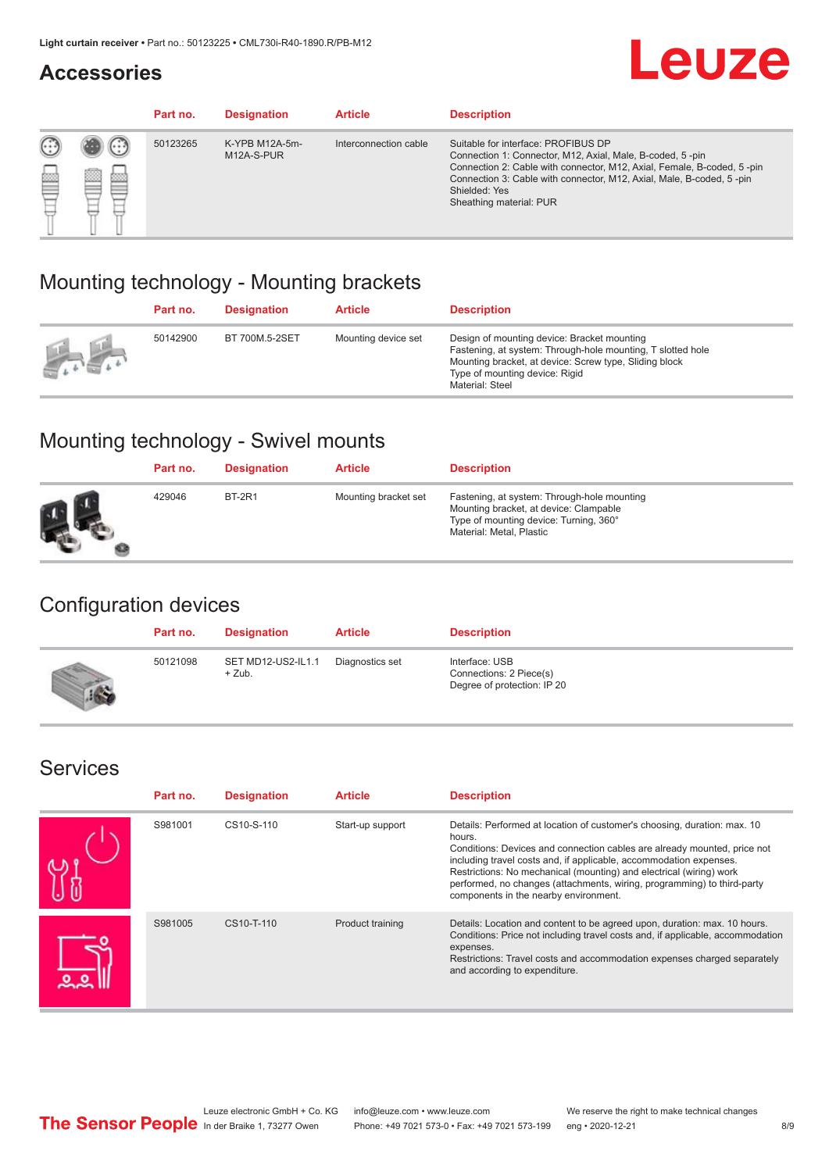#### **Accessories**

## **Leuze**

|   |        | Part no. | <b>Designation</b>           | <b>Article</b>        | <b>Description</b>                                                                                                                                                                                                                                                                             |
|---|--------|----------|------------------------------|-----------------------|------------------------------------------------------------------------------------------------------------------------------------------------------------------------------------------------------------------------------------------------------------------------------------------------|
| 您 | ×<br>一 | 50123265 | K-YPB M12A-5m-<br>M12A-S-PUR | Interconnection cable | Suitable for interface: PROFIBUS DP<br>Connection 1: Connector, M12, Axial, Male, B-coded, 5-pin<br>Connection 2: Cable with connector, M12, Axial, Female, B-coded, 5-pin<br>Connection 3: Cable with connector, M12, Axial, Male, B-coded, 5-pin<br>Shielded: Yes<br>Sheathing material: PUR |

#### Mounting technology - Mounting brackets

|               | Part no. | <b>Designation</b> | <b>Article</b>      | <b>Description</b>                                                                                                                                                                                                        |
|---------------|----------|--------------------|---------------------|---------------------------------------------------------------------------------------------------------------------------------------------------------------------------------------------------------------------------|
| $\frac{1}{2}$ | 50142900 | BT 700M.5-2SET     | Mounting device set | Design of mounting device: Bracket mounting<br>Fastening, at system: Through-hole mounting, T slotted hole<br>Mounting bracket, at device: Screw type, Sliding block<br>Type of mounting device: Rigid<br>Material: Steel |

### Mounting technology - Swivel mounts

| Part no. | <b>Designation</b> | <b>Article</b>       | <b>Description</b>                                                                                                                                          |
|----------|--------------------|----------------------|-------------------------------------------------------------------------------------------------------------------------------------------------------------|
| 429046   | <b>BT-2R1</b>      | Mounting bracket set | Fastening, at system: Through-hole mounting<br>Mounting bracket, at device: Clampable<br>Type of mounting device: Turning, 360°<br>Material: Metal, Plastic |

#### Configuration devices

| Part no. | <b>Designation</b>             | <b>Article</b>  | <b>Description</b>                                                       |
|----------|--------------------------------|-----------------|--------------------------------------------------------------------------|
| 50121098 | SET MD12-US2-IL1.1<br>$+$ Zub. | Diagnostics set | Interface: USB<br>Connections: 2 Piece(s)<br>Degree of protection: IP 20 |

#### Services

| Part no. | <b>Designation</b> | <b>Article</b>   | <b>Description</b>                                                                                                                                                                                                                                                                                                                                                                                                              |
|----------|--------------------|------------------|---------------------------------------------------------------------------------------------------------------------------------------------------------------------------------------------------------------------------------------------------------------------------------------------------------------------------------------------------------------------------------------------------------------------------------|
| S981001  | CS10-S-110         | Start-up support | Details: Performed at location of customer's choosing, duration: max. 10<br>hours.<br>Conditions: Devices and connection cables are already mounted, price not<br>including travel costs and, if applicable, accommodation expenses.<br>Restrictions: No mechanical (mounting) and electrical (wiring) work<br>performed, no changes (attachments, wiring, programming) to third-party<br>components in the nearby environment. |
| S981005  | CS10-T-110         | Product training | Details: Location and content to be agreed upon, duration: max. 10 hours.<br>Conditions: Price not including travel costs and, if applicable, accommodation<br>expenses.<br>Restrictions: Travel costs and accommodation expenses charged separately<br>and according to expenditure.                                                                                                                                           |